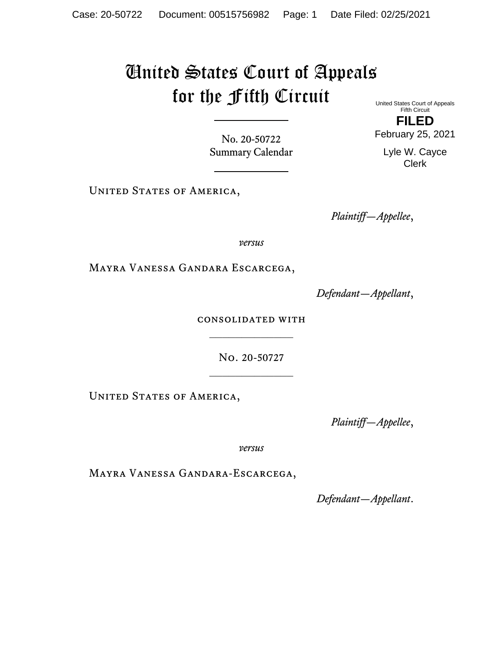## United States Court of Appeals for the Fifth Circuit

United States Court of Appeals Fifth Circuit

No. 20-50722 Summary Calendar

UNITED STATES OF AMERICA,

*Plaintiff—Appellee*,

*versus*

Mayra Vanessa Gandara Escarcega,

*Defendant—Appellant*,

consolidated with  $\mathcal{L}_\text{max}$ 

> No. 20-50727  $\frac{1}{2}$

UNITED STATES OF AMERICA,

*Plaintiff—Appellee*,

*versus*

Mayra Vanessa Gandara-Escarcega,

*Defendant—Appellant*.

**FILED**  February 25, 2021

> Lyle W. Cayce Clerk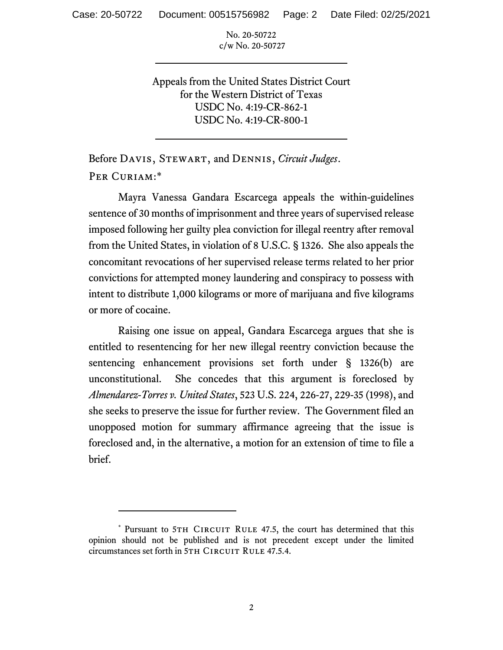No. 20-50722 c/w No. 20-50727

Appeals from the United States District Court for the Western District of Texas USDC No. 4:19-CR-862-1 USDC No. 4:19-CR-800-1

Before Davis, Stewart, and Dennis, *Circuit Judges*. Per Curiam:\*

Mayra Vanessa Gandara Escarcega appeals the within-guidelines sentence of 30 months of imprisonment and three years of supervised release imposed following her guilty plea conviction for illegal reentry after removal from the United States, in violation of 8 U.S.C. § 1326. She also appeals the concomitant revocations of her supervised release terms related to her prior convictions for attempted money laundering and conspiracy to possess with intent to distribute 1,000 kilograms or more of marijuana and five kilograms or more of cocaine.

Raising one issue on appeal, Gandara Escarcega argues that she is entitled to resentencing for her new illegal reentry conviction because the sentencing enhancement provisions set forth under § 1326(b) are unconstitutional. She concedes that this argument is foreclosed by *Almendarez-Torres v. United States*, 523 U.S. 224, 226-27, 229-35 (1998), and she seeks to preserve the issue for further review. The Government filed an unopposed motion for summary affirmance agreeing that the issue is foreclosed and, in the alternative, a motion for an extension of time to file a brief.

<sup>\*</sup> Pursuant to 5TH CIRCUIT RULE 47.5, the court has determined that this opinion should not be published and is not precedent except under the limited circumstances set forth in 5TH CIRCUIT RULE 47.5.4.